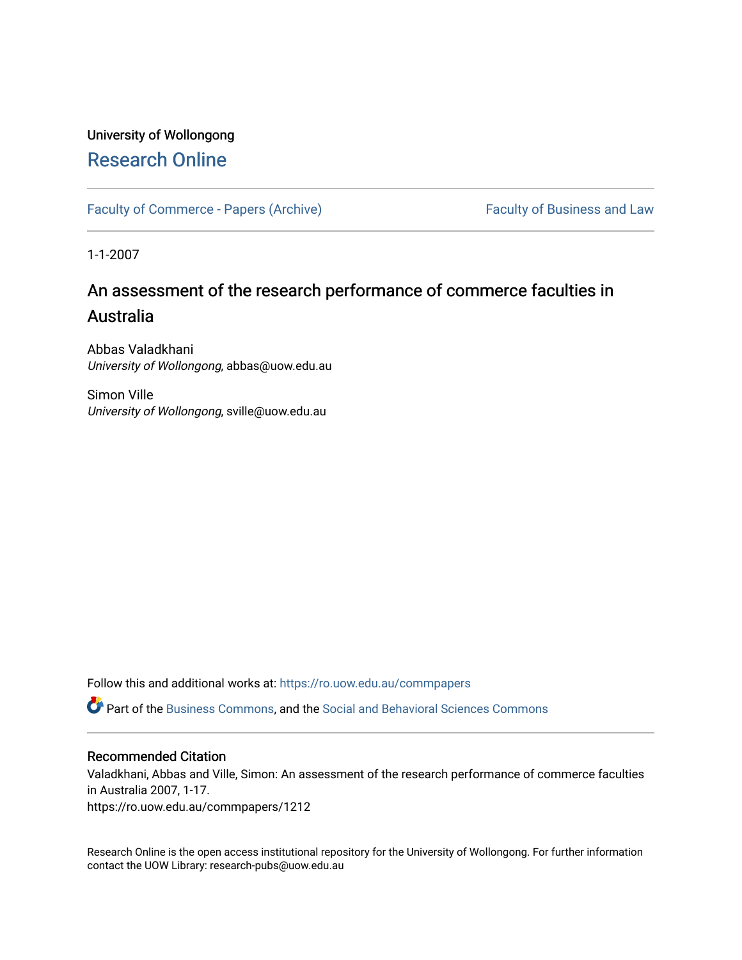# University of Wollongong [Research Online](https://ro.uow.edu.au/)

[Faculty of Commerce - Papers \(Archive\)](https://ro.uow.edu.au/commpapers) Faculty of Business and Law

1-1-2007

# An assessment of the research performance of commerce faculties in Australia

Abbas Valadkhani University of Wollongong, abbas@uow.edu.au

Simon Ville University of Wollongong, sville@uow.edu.au

Follow this and additional works at: [https://ro.uow.edu.au/commpapers](https://ro.uow.edu.au/commpapers?utm_source=ro.uow.edu.au%2Fcommpapers%2F1212&utm_medium=PDF&utm_campaign=PDFCoverPages) 

Part of the [Business Commons](http://network.bepress.com/hgg/discipline/622?utm_source=ro.uow.edu.au%2Fcommpapers%2F1212&utm_medium=PDF&utm_campaign=PDFCoverPages), and the [Social and Behavioral Sciences Commons](http://network.bepress.com/hgg/discipline/316?utm_source=ro.uow.edu.au%2Fcommpapers%2F1212&utm_medium=PDF&utm_campaign=PDFCoverPages) 

#### Recommended Citation

Valadkhani, Abbas and Ville, Simon: An assessment of the research performance of commerce faculties in Australia 2007, 1-17.

https://ro.uow.edu.au/commpapers/1212

Research Online is the open access institutional repository for the University of Wollongong. For further information contact the UOW Library: research-pubs@uow.edu.au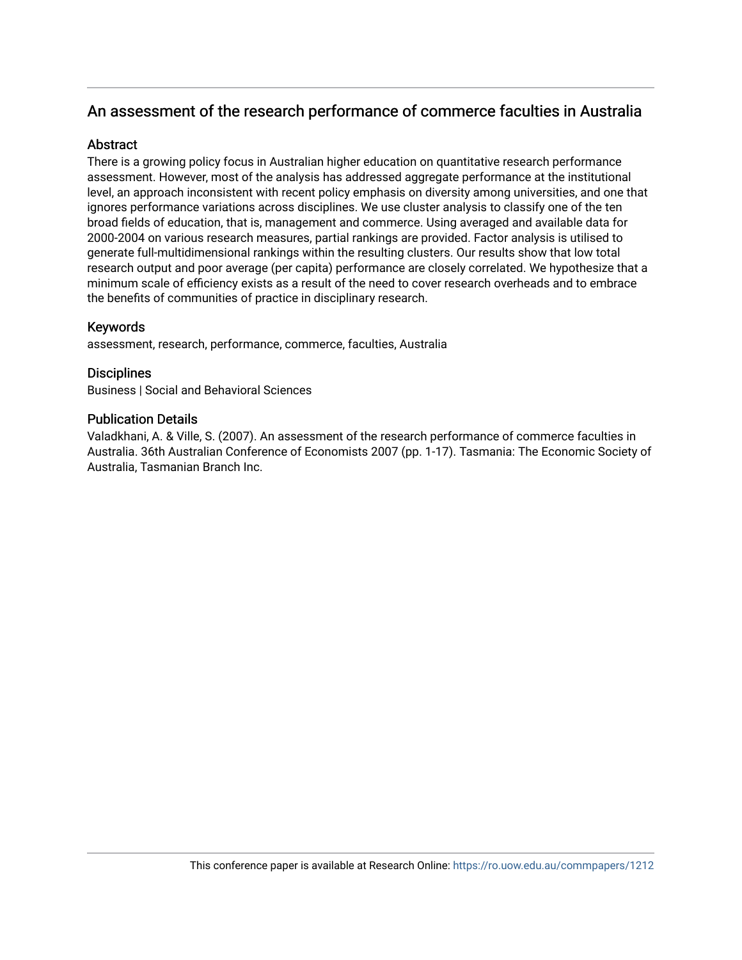# An assessment of the research performance of commerce faculties in Australia

## **Abstract**

There is a growing policy focus in Australian higher education on quantitative research performance assessment. However, most of the analysis has addressed aggregate performance at the institutional level, an approach inconsistent with recent policy emphasis on diversity among universities, and one that ignores performance variations across disciplines. We use cluster analysis to classify one of the ten broad fields of education, that is, management and commerce. Using averaged and available data for 2000-2004 on various research measures, partial rankings are provided. Factor analysis is utilised to generate full-multidimensional rankings within the resulting clusters. Our results show that low total research output and poor average (per capita) performance are closely correlated. We hypothesize that a minimum scale of efficiency exists as a result of the need to cover research overheads and to embrace the benefits of communities of practice in disciplinary research.

# Keywords

assessment, research, performance, commerce, faculties, Australia

# **Disciplines**

Business | Social and Behavioral Sciences

## Publication Details

Valadkhani, A. & Ville, S. (2007). An assessment of the research performance of commerce faculties in Australia. 36th Australian Conference of Economists 2007 (pp. 1-17). Tasmania: The Economic Society of Australia, Tasmanian Branch Inc.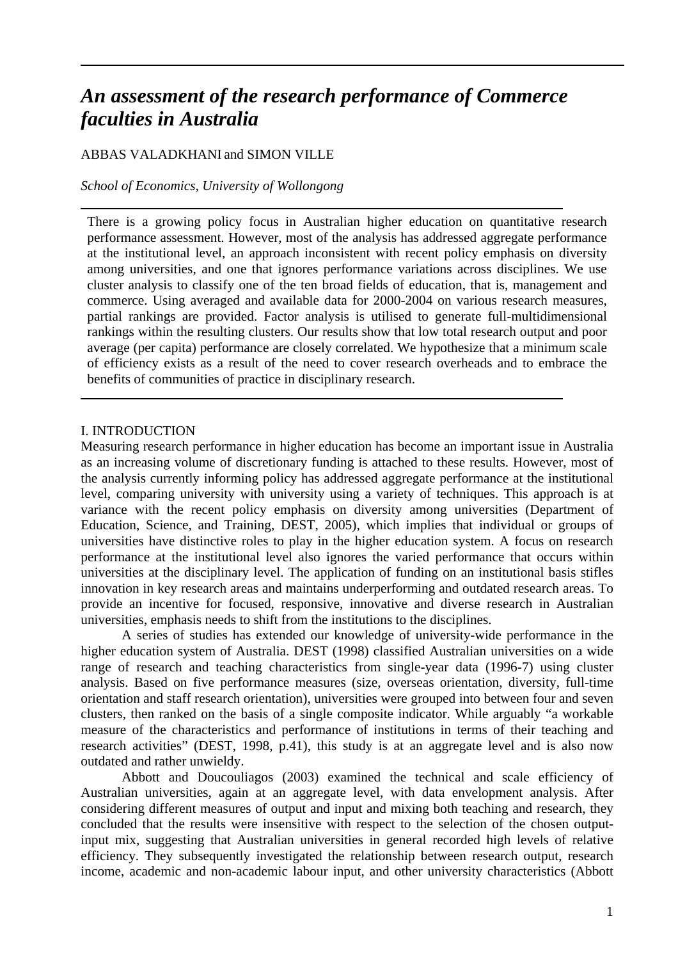# *An assessment of the research performance of Commerce faculties in Australia*

# ABBAS VALADKHANI and SIMON VILLE

*School of Economics, University of Wollongong* 

There is a growing policy focus in Australian higher education on quantitative research performance assessment. However, most of the analysis has addressed aggregate performance at the institutional level, an approach inconsistent with recent policy emphasis on diversity among universities, and one that ignores performance variations across disciplines. We use cluster analysis to classify one of the ten broad fields of education, that is, management and commerce. Using averaged and available data for 2000-2004 on various research measures, partial rankings are provided. Factor analysis is utilised to generate full-multidimensional rankings within the resulting clusters. Our results show that low total research output and poor average (per capita) performance are closely correlated. We hypothesize that a minimum scale of efficiency exists as a result of the need to cover research overheads and to embrace the benefits of communities of practice in disciplinary research.

#### I. INTRODUCTION

Measuring research performance in higher education has become an important issue in Australia as an increasing volume of discretionary funding is attached to these results. However, most of the analysis currently informing policy has addressed aggregate performance at the institutional level, comparing university with university using a variety of techniques. This approach is at variance with the recent policy emphasis on diversity among universities (Department of Education, Science, and Training, DEST, 2005), which implies that individual or groups of universities have distinctive roles to play in the higher education system. A focus on research performance at the institutional level also ignores the varied performance that occurs within universities at the disciplinary level. The application of funding on an institutional basis stifles innovation in key research areas and maintains underperforming and outdated research areas. To provide an incentive for focused, responsive, innovative and diverse research in Australian universities, emphasis needs to shift from the institutions to the disciplines.

A series of studies has extended our knowledge of university-wide performance in the higher education system of Australia. DEST (1998) classified Australian universities on a wide range of research and teaching characteristics from single-year data (1996-7) using cluster analysis. Based on five performance measures (size, overseas orientation, diversity, full-time orientation and staff research orientation), universities were grouped into between four and seven clusters, then ranked on the basis of a single composite indicator. While arguably "a workable measure of the characteristics and performance of institutions in terms of their teaching and research activities" (DEST, 1998, p.41), this study is at an aggregate level and is also now outdated and rather unwieldy.

Abbott and Doucouliagos (2003) examined the technical and scale efficiency of Australian universities, again at an aggregate level, with data envelopment analysis. After considering different measures of output and input and mixing both teaching and research, they concluded that the results were insensitive with respect to the selection of the chosen outputinput mix, suggesting that Australian universities in general recorded high levels of relative efficiency. They subsequently investigated the relationship between research output, research income, academic and non-academic labour input, and other university characteristics (Abbott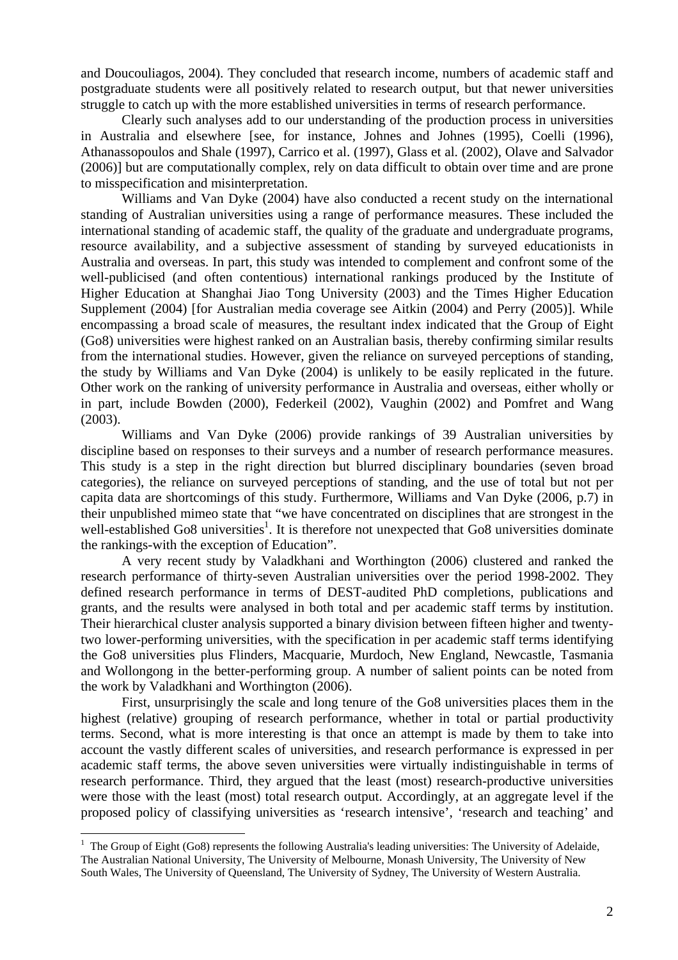and Doucouliagos, 2004). They concluded that research income, numbers of academic staff and postgraduate students were all positively related to research output, but that newer universities struggle to catch up with the more established universities in terms of research performance.

Clearly such analyses add to our understanding of the production process in universities in Australia and elsewhere [see, for instance, Johnes and Johnes (1995), Coelli (1996), Athanassopoulos and Shale (1997), Carrico et al. (1997), Glass et al. (2002), Olave and Salvador (2006)] but are computationally complex, rely on data difficult to obtain over time and are prone to misspecification and misinterpretation.

Williams and Van Dyke (2004) have also conducted a recent study on the international standing of Australian universities using a range of performance measures. These included the international standing of academic staff, the quality of the graduate and undergraduate programs, resource availability, and a subjective assessment of standing by surveyed educationists in Australia and overseas. In part, this study was intended to complement and confront some of the well-publicised (and often contentious) international rankings produced by the Institute of Higher Education at Shanghai Jiao Tong University (2003) and the Times Higher Education Supplement (2004) [for Australian media coverage see Aitkin (2004) and Perry (2005)]. While encompassing a broad scale of measures, the resultant index indicated that the Group of Eight (Go8) universities were highest ranked on an Australian basis, thereby confirming similar results from the international studies. However, given the reliance on surveyed perceptions of standing, the study by Williams and Van Dyke (2004) is unlikely to be easily replicated in the future. Other work on the ranking of university performance in Australia and overseas, either wholly or in part, include Bowden (2000), Federkeil (2002), Vaughin (2002) and Pomfret and Wang (2003).

Williams and Van Dyke (2006) provide rankings of 39 Australian universities by discipline based on responses to their surveys and a number of research performance measures. This study is a step in the right direction but blurred disciplinary boundaries (seven broad categories), the reliance on surveyed perceptions of standing, and the use of total but not per capita data are shortcomings of this study. Furthermore, Williams and Van Dyke (2006, p.7) in their unpublished mimeo state that "we have concentrated on disciplines that are strongest in the well-established Go8 universities<sup>1</sup>. It is therefore not unexpected that Go8 universities dominate the rankings-with the exception of Education".

A very recent study by Valadkhani and Worthington (2006) clustered and ranked the research performance of thirty-seven Australian universities over the period 1998-2002. They defined research performance in terms of DEST-audited PhD completions, publications and grants, and the results were analysed in both total and per academic staff terms by institution. Their hierarchical cluster analysis supported a binary division between fifteen higher and twentytwo lower-performing universities, with the specification in per academic staff terms identifying the Go8 universities plus Flinders, Macquarie, Murdoch, New England, Newcastle, Tasmania and Wollongong in the better-performing group. A number of salient points can be noted from the work by Valadkhani and Worthington (2006).

First, unsurprisingly the scale and long tenure of the Go8 universities places them in the highest (relative) grouping of research performance, whether in total or partial productivity terms. Second, what is more interesting is that once an attempt is made by them to take into account the vastly different scales of universities, and research performance is expressed in per academic staff terms, the above seven universities were virtually indistinguishable in terms of research performance. Third, they argued that the least (most) research-productive universities were those with the least (most) total research output. Accordingly, at an aggregate level if the proposed policy of classifying universities as 'research intensive', 'research and teaching' and

 $\overline{a}$ 

 $1$  The Group of Eight (Go8) represents the following Australia's leading universities: The University of Adelaide, The Australian National University, The University of Melbourne, Monash University, The University of New South Wales, The University of Queensland, The University of Sydney, The University of Western Australia.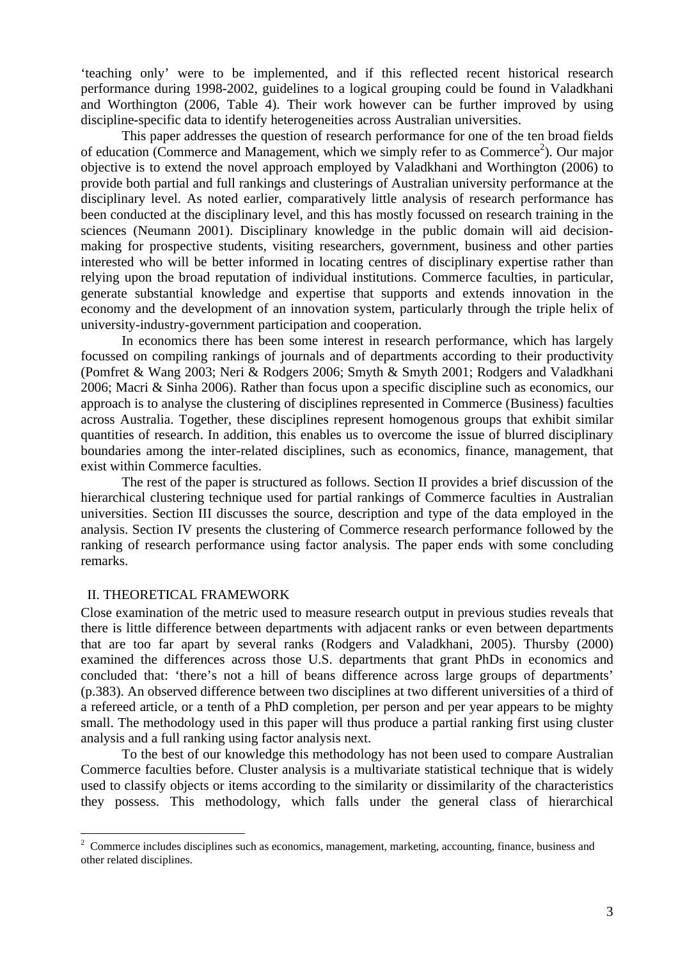'teaching only' were to be implemented, and if this reflected recent historical research performance during 1998-2002, guidelines to a logical grouping could be found in Valadkhani and Worthington (2006, Table 4). Their work however can be further improved by using discipline-specific data to identify heterogeneities across Australian universities.

This paper addresses the question of research performance for one of the ten broad fields of education (Commerce and Management, which we simply refer to as Commerce<sup>2</sup>). Our major objective is to extend the novel approach employed by Valadkhani and Worthington (2006) to provide both partial and full rankings and clusterings of Australian university performance at the disciplinary level. As noted earlier, comparatively little analysis of research performance has been conducted at the disciplinary level, and this has mostly focussed on research training in the sciences (Neumann 2001). Disciplinary knowledge in the public domain will aid decisionmaking for prospective students, visiting researchers, government, business and other parties interested who will be better informed in locating centres of disciplinary expertise rather than relying upon the broad reputation of individual institutions. Commerce faculties, in particular, generate substantial knowledge and expertise that supports and extends innovation in the economy and the development of an innovation system, particularly through the triple helix of university-industry-government participation and cooperation.

In economics there has been some interest in research performance, which has largely focussed on compiling rankings of journals and of departments according to their productivity (Pomfret & Wang 2003; Neri & Rodgers 2006; Smyth & Smyth 2001; Rodgers and Valadkhani 2006; Macri & Sinha 2006). Rather than focus upon a specific discipline such as economics, our approach is to analyse the clustering of disciplines represented in Commerce (Business) faculties across Australia. Together, these disciplines represent homogenous groups that exhibit similar quantities of research. In addition, this enables us to overcome the issue of blurred disciplinary boundaries among the inter-related disciplines, such as economics, finance, management, that exist within Commerce faculties.

The rest of the paper is structured as follows. Section II provides a brief discussion of the hierarchical clustering technique used for partial rankings of Commerce faculties in Australian universities. Section III discusses the source, description and type of the data employed in the analysis. Section IV presents the clustering of Commerce research performance followed by the ranking of research performance using factor analysis. The paper ends with some concluding remarks.

#### II. THEORETICAL FRAMEWORK

 $\overline{a}$ 

Close examination of the metric used to measure research output in previous studies reveals that there is little difference between departments with adjacent ranks or even between departments that are too far apart by several ranks (Rodgers and Valadkhani, 2005). Thursby (2000) examined the differences across those U.S. departments that grant PhDs in economics and concluded that: 'there's not a hill of beans difference across large groups of departments' (p.383). An observed difference between two disciplines at two different universities of a third of a refereed article, or a tenth of a PhD completion, per person and per year appears to be mighty small. The methodology used in this paper will thus produce a partial ranking first using cluster analysis and a full ranking using factor analysis next.

To the best of our knowledge this methodology has not been used to compare Australian Commerce faculties before. Cluster analysis is a multivariate statistical technique that is widely used to classify objects or items according to the similarity or dissimilarity of the characteristics they possess. This methodology, which falls under the general class of hierarchical

 $2^2$  Commerce includes disciplines such as economics, management, marketing, accounting, finance, business and other related disciplines.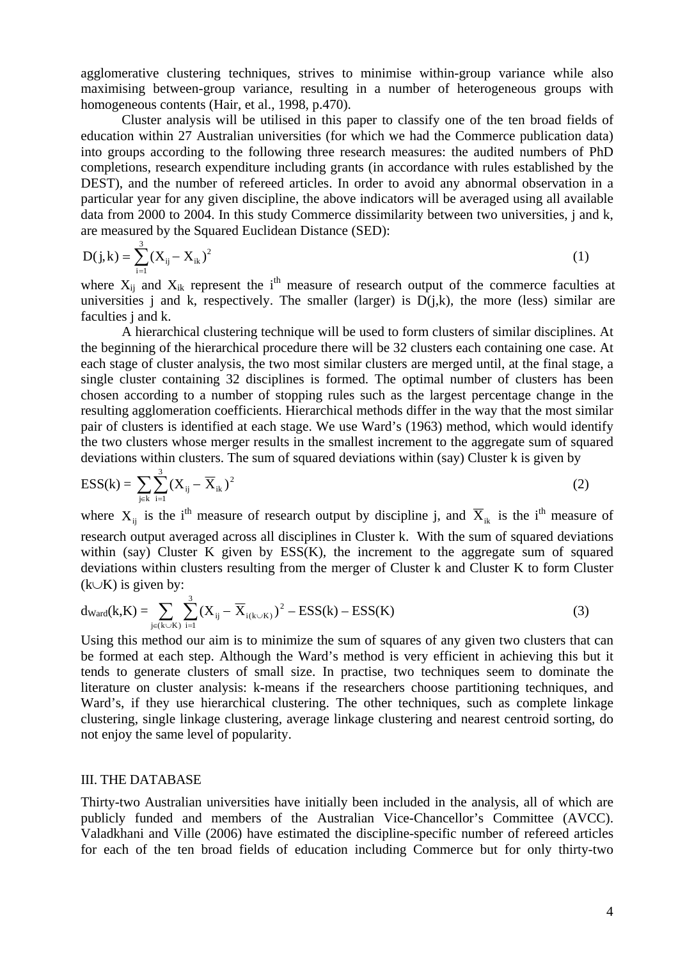agglomerative clustering techniques, strives to minimise within-group variance while also maximising between-group variance, resulting in a number of heterogeneous groups with homogeneous contents (Hair, et al., 1998, p.470).

Cluster analysis will be utilised in this paper to classify one of the ten broad fields of education within 27 Australian universities (for which we had the Commerce publication data) into groups according to the following three research measures: the audited numbers of PhD completions, research expenditure including grants (in accordance with rules established by the DEST), and the number of refereed articles. In order to avoid any abnormal observation in a particular year for any given discipline, the above indicators will be averaged using all available data from 2000 to 2004. In this study Commerce dissimilarity between two universities, j and k, are measured by the Squared Euclidean Distance (SED):

$$
D(j,k) = \sum_{i=1}^{3} (X_{ij} - X_{ik})^2
$$
 (1)

where  $X_{ij}$  and  $X_{ik}$  represent the i<sup>th</sup> measure of research output of the commerce faculties at universities j and k, respectively. The smaller (larger) is  $D(j,k)$ , the more (less) similar are faculties j and k.

A hierarchical clustering technique will be used to form clusters of similar disciplines. At the beginning of the hierarchical procedure there will be 32 clusters each containing one case. At each stage of cluster analysis, the two most similar clusters are merged until, at the final stage, a single cluster containing 32 disciplines is formed. The optimal number of clusters has been chosen according to a number of stopping rules such as the largest percentage change in the resulting agglomeration coefficients. Hierarchical methods differ in the way that the most similar pair of clusters is identified at each stage. We use Ward's (1963) method, which would identify the two clusters whose merger results in the smallest increment to the aggregate sum of squared deviations within clusters. The sum of squared deviations within (say) Cluster k is given by

$$
ESS(k) = \sum_{j \in k} \sum_{i=1}^{3} (X_{ij} - \overline{X}_{ik})^2
$$
 (2)

where  $X_{ij}$  is the i<sup>th</sup> measure of research output by discipline j, and  $\overline{X}_{ik}$  is the i<sup>th</sup> measure of research output averaged across all disciplines in Cluster k. With the sum of squared deviations within (say) Cluster K given by  $ESS(K)$ , the increment to the aggregate sum of squared deviations within clusters resulting from the merger of Cluster k and Cluster K to form Cluster  $(k∪K)$  is given by:

$$
d_{\text{Ward}}(k,K) = \sum_{j \in (k \cup K)} \sum_{i=1}^{3} (X_{ij} - \overline{X}_{i(k \cup K)})^2 - ESS(k) - ESS(K)
$$
 (3)

Using this method our aim is to minimize the sum of squares of any given two clusters that can be formed at each step. Although the Ward's method is very efficient in achieving this but it tends to generate clusters of small size. In practise, two techniques seem to dominate the literature on cluster analysis: k-means if the researchers choose partitioning techniques, and Ward's, if they use hierarchical clustering. The other techniques, such as complete linkage clustering, single linkage clustering, average linkage clustering and nearest centroid sorting, do not enjoy the same level of popularity.

#### III. THE DATABASE

Thirty-two Australian universities have initially been included in the analysis, all of which are publicly funded and members of the Australian Vice-Chancellor's Committee (AVCC). Valadkhani and Ville (2006) have estimated the discipline-specific number of refereed articles for each of the ten broad fields of education including Commerce but for only thirty-two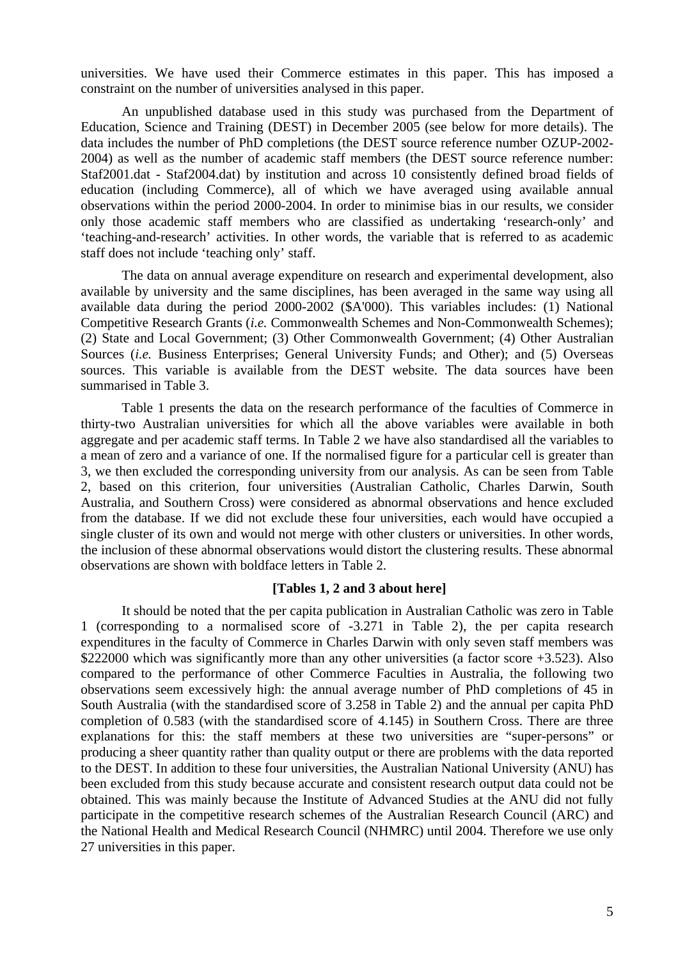universities. We have used their Commerce estimates in this paper. This has imposed a constraint on the number of universities analysed in this paper.

An unpublished database used in this study was purchased from the Department of Education, Science and Training (DEST) in December 2005 (see below for more details). The data includes the number of PhD completions (the DEST source reference number OZUP-2002- 2004) as well as the number of academic staff members (the DEST source reference number: Staf2001.dat - Staf2004.dat) by institution and across 10 consistently defined broad fields of education (including Commerce), all of which we have averaged using available annual observations within the period 2000-2004. In order to minimise bias in our results, we consider only those academic staff members who are classified as undertaking 'research-only' and 'teaching-and-research' activities. In other words, the variable that is referred to as academic staff does not include 'teaching only' staff.

 The data on annual average expenditure on research and experimental development, also available by university and the same disciplines, has been averaged in the same way using all available data during the period 2000-2002 (\$A'000). This variables includes: (1) National Competitive Research Grants (*i.e.* Commonwealth Schemes and Non-Commonwealth Schemes); (2) State and Local Government; (3) Other Commonwealth Government; (4) Other Australian Sources *(i.e.* Business Enterprises; General University Funds; and Other); and (5) Overseas sources. This variable is available from the DEST website. The data sources have been summarised in Table 3.

Table 1 presents the data on the research performance of the faculties of Commerce in thirty-two Australian universities for which all the above variables were available in both aggregate and per academic staff terms. In Table 2 we have also standardised all the variables to a mean of zero and a variance of one. If the normalised figure for a particular cell is greater than 3, we then excluded the corresponding university from our analysis. As can be seen from Table 2, based on this criterion, four universities (Australian Catholic, Charles Darwin, South Australia, and Southern Cross) were considered as abnormal observations and hence excluded from the database. If we did not exclude these four universities, each would have occupied a single cluster of its own and would not merge with other clusters or universities. In other words, the inclusion of these abnormal observations would distort the clustering results. These abnormal observations are shown with boldface letters in Table 2.

#### **[Tables 1, 2 and 3 about here]**

It should be noted that the per capita publication in Australian Catholic was zero in Table 1 (corresponding to a normalised score of -3.271 in Table 2), the per capita research expenditures in the faculty of Commerce in Charles Darwin with only seven staff members was \$222000 which was significantly more than any other universities (a factor score  $+3.523$ ). Also compared to the performance of other Commerce Faculties in Australia, the following two observations seem excessively high: the annual average number of PhD completions of 45 in South Australia (with the standardised score of 3.258 in Table 2) and the annual per capita PhD completion of 0.583 (with the standardised score of 4.145) in Southern Cross. There are three explanations for this: the staff members at these two universities are "super-persons" or producing a sheer quantity rather than quality output or there are problems with the data reported to the DEST. In addition to these four universities, the Australian National University (ANU) has been excluded from this study because accurate and consistent research output data could not be obtained. This was mainly because the Institute of Advanced Studies at the ANU did not fully participate in the competitive research schemes of the Australian Research Council (ARC) and the National Health and Medical Research Council (NHMRC) until 2004. Therefore we use only 27 universities in this paper.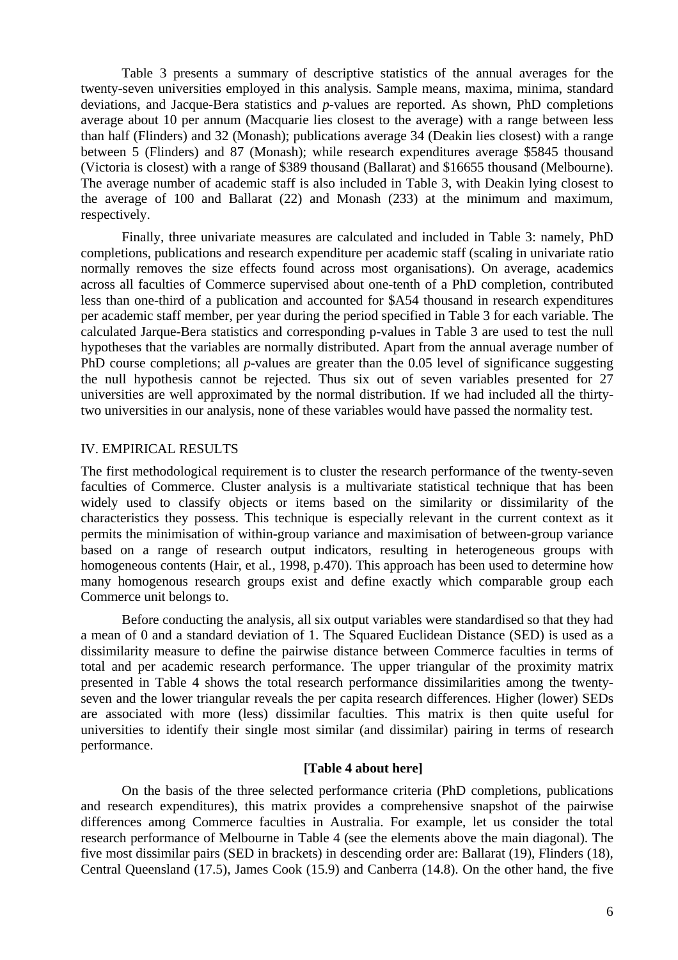Table 3 presents a summary of descriptive statistics of the annual averages for the twenty-seven universities employed in this analysis. Sample means, maxima, minima, standard deviations, and Jacque-Bera statistics and *p*-values are reported. As shown, PhD completions average about 10 per annum (Macquarie lies closest to the average) with a range between less than half (Flinders) and 32 (Monash); publications average 34 (Deakin lies closest) with a range between 5 (Flinders) and 87 (Monash); while research expenditures average \$5845 thousand (Victoria is closest) with a range of \$389 thousand (Ballarat) and \$16655 thousand (Melbourne). The average number of academic staff is also included in Table 3, with Deakin lying closest to the average of 100 and Ballarat (22) and Monash (233) at the minimum and maximum, respectively.

Finally, three univariate measures are calculated and included in Table 3: namely, PhD completions, publications and research expenditure per academic staff (scaling in univariate ratio normally removes the size effects found across most organisations). On average, academics across all faculties of Commerce supervised about one-tenth of a PhD completion, contributed less than one-third of a publication and accounted for \$A54 thousand in research expenditures per academic staff member, per year during the period specified in Table 3 for each variable. The calculated Jarque-Bera statistics and corresponding p-values in Table 3 are used to test the null hypotheses that the variables are normally distributed. Apart from the annual average number of PhD course completions; all *p*-values are greater than the 0.05 level of significance suggesting the null hypothesis cannot be rejected. Thus six out of seven variables presented for 27 universities are well approximated by the normal distribution. If we had included all the thirtytwo universities in our analysis, none of these variables would have passed the normality test.

#### IV. EMPIRICAL RESULTS

The first methodological requirement is to cluster the research performance of the twenty-seven faculties of Commerce. Cluster analysis is a multivariate statistical technique that has been widely used to classify objects or items based on the similarity or dissimilarity of the characteristics they possess. This technique is especially relevant in the current context as it permits the minimisation of within-group variance and maximisation of between-group variance based on a range of research output indicators, resulting in heterogeneous groups with homogeneous contents (Hair, et al*.,* 1998, p.470). This approach has been used to determine how many homogenous research groups exist and define exactly which comparable group each Commerce unit belongs to.

Before conducting the analysis, all six output variables were standardised so that they had a mean of 0 and a standard deviation of 1. The Squared Euclidean Distance (SED) is used as a dissimilarity measure to define the pairwise distance between Commerce faculties in terms of total and per academic research performance. The upper triangular of the proximity matrix presented in Table 4 shows the total research performance dissimilarities among the twentyseven and the lower triangular reveals the per capita research differences. Higher (lower) SEDs are associated with more (less) dissimilar faculties. This matrix is then quite useful for universities to identify their single most similar (and dissimilar) pairing in terms of research performance.

## **[Table 4 about here]**

On the basis of the three selected performance criteria (PhD completions, publications and research expenditures), this matrix provides a comprehensive snapshot of the pairwise differences among Commerce faculties in Australia. For example, let us consider the total research performance of Melbourne in Table 4 (see the elements above the main diagonal). The five most dissimilar pairs (SED in brackets) in descending order are: Ballarat (19), Flinders (18), Central Queensland (17.5), James Cook (15.9) and Canberra (14.8). On the other hand, the five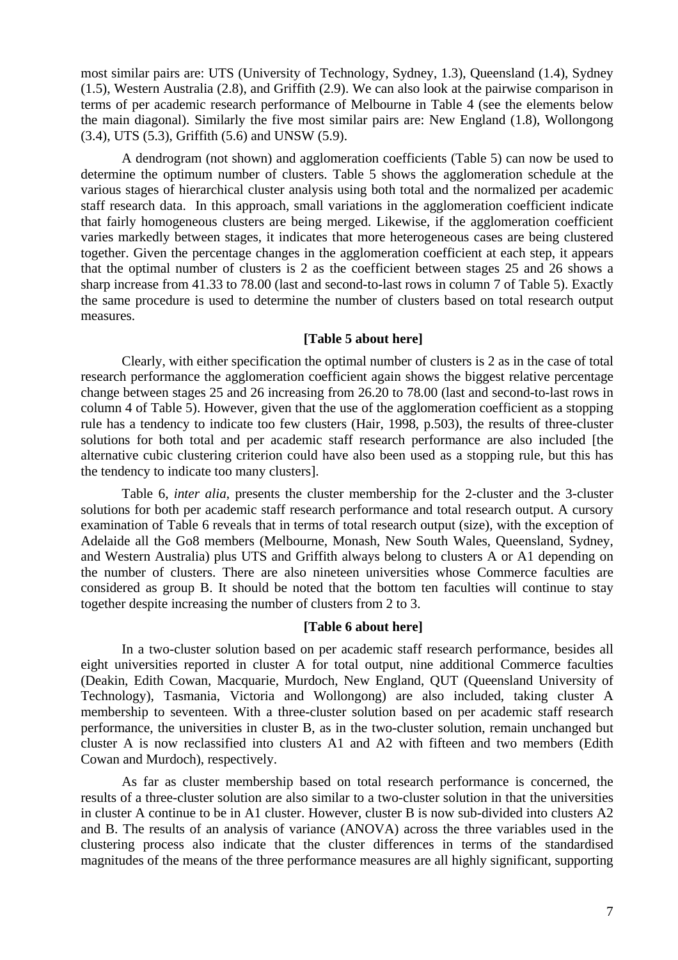most similar pairs are: UTS (University of Technology, Sydney, 1.3), Queensland (1.4), Sydney (1.5), Western Australia (2.8), and Griffith (2.9). We can also look at the pairwise comparison in terms of per academic research performance of Melbourne in Table 4 (see the elements below the main diagonal). Similarly the five most similar pairs are: New England (1.8), Wollongong (3.4), UTS (5.3), Griffith (5.6) and UNSW (5.9).

A dendrogram (not shown) and agglomeration coefficients (Table 5) can now be used to determine the optimum number of clusters. Table 5 shows the agglomeration schedule at the various stages of hierarchical cluster analysis using both total and the normalized per academic staff research data. In this approach, small variations in the agglomeration coefficient indicate that fairly homogeneous clusters are being merged. Likewise, if the agglomeration coefficient varies markedly between stages, it indicates that more heterogeneous cases are being clustered together. Given the percentage changes in the agglomeration coefficient at each step, it appears that the optimal number of clusters is 2 as the coefficient between stages 25 and 26 shows a sharp increase from 41.33 to 78.00 (last and second-to-last rows in column 7 of Table 5). Exactly the same procedure is used to determine the number of clusters based on total research output measures.

# **[Table 5 about here]**

Clearly, with either specification the optimal number of clusters is 2 as in the case of total research performance the agglomeration coefficient again shows the biggest relative percentage change between stages 25 and 26 increasing from 26.20 to 78.00 (last and second-to-last rows in column 4 of Table 5). However, given that the use of the agglomeration coefficient as a stopping rule has a tendency to indicate too few clusters (Hair, 1998, p.503), the results of three-cluster solutions for both total and per academic staff research performance are also included [the alternative cubic clustering criterion could have also been used as a stopping rule, but this has the tendency to indicate too many clusters].

Table 6, *inter alia*, presents the cluster membership for the 2-cluster and the 3-cluster solutions for both per academic staff research performance and total research output. A cursory examination of Table 6 reveals that in terms of total research output (size), with the exception of Adelaide all the Go8 members (Melbourne, Monash, New South Wales, Queensland, Sydney, and Western Australia) plus UTS and Griffith always belong to clusters A or A1 depending on the number of clusters. There are also nineteen universities whose Commerce faculties are considered as group B. It should be noted that the bottom ten faculties will continue to stay together despite increasing the number of clusters from 2 to 3.

#### **[Table 6 about here]**

In a two-cluster solution based on per academic staff research performance, besides all eight universities reported in cluster A for total output, nine additional Commerce faculties (Deakin, Edith Cowan, Macquarie, Murdoch, New England, QUT (Queensland University of Technology), Tasmania, Victoria and Wollongong) are also included, taking cluster A membership to seventeen. With a three-cluster solution based on per academic staff research performance, the universities in cluster B, as in the two-cluster solution, remain unchanged but cluster A is now reclassified into clusters A1 and A2 with fifteen and two members (Edith Cowan and Murdoch), respectively.

As far as cluster membership based on total research performance is concerned, the results of a three-cluster solution are also similar to a two-cluster solution in that the universities in cluster A continue to be in A1 cluster. However, cluster B is now sub-divided into clusters A2 and B. The results of an analysis of variance (ANOVA) across the three variables used in the clustering process also indicate that the cluster differences in terms of the standardised magnitudes of the means of the three performance measures are all highly significant, supporting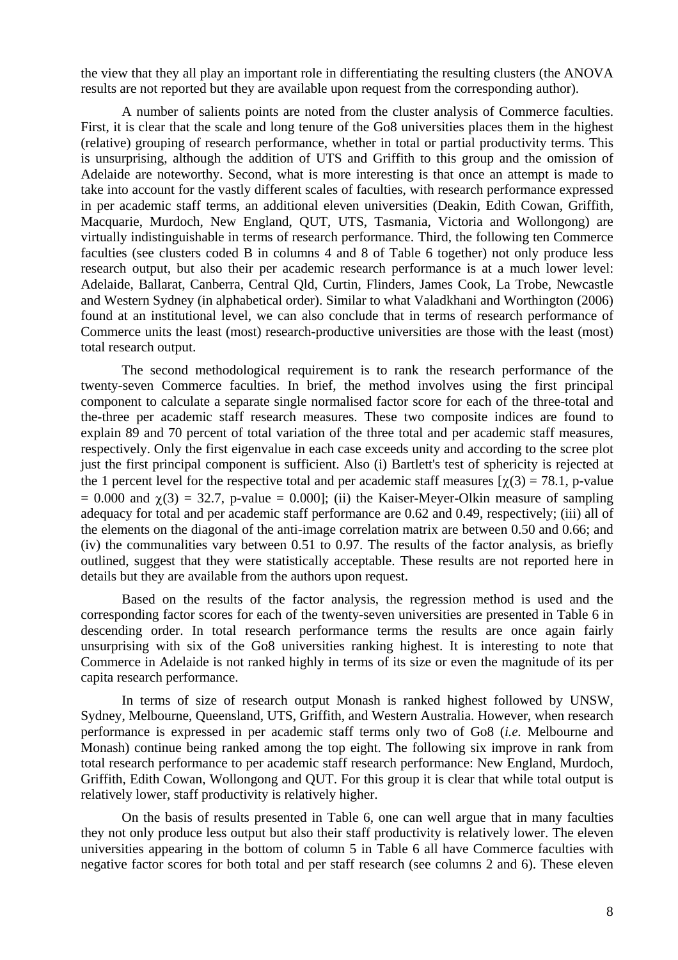the view that they all play an important role in differentiating the resulting clusters (the ANOVA results are not reported but they are available upon request from the corresponding author).

A number of salients points are noted from the cluster analysis of Commerce faculties. First, it is clear that the scale and long tenure of the Go8 universities places them in the highest (relative) grouping of research performance, whether in total or partial productivity terms. This is unsurprising, although the addition of UTS and Griffith to this group and the omission of Adelaide are noteworthy. Second, what is more interesting is that once an attempt is made to take into account for the vastly different scales of faculties, with research performance expressed in per academic staff terms, an additional eleven universities (Deakin, Edith Cowan, Griffith, Macquarie, Murdoch, New England, QUT, UTS, Tasmania, Victoria and Wollongong) are virtually indistinguishable in terms of research performance. Third, the following ten Commerce faculties (see clusters coded B in columns 4 and 8 of Table 6 together) not only produce less research output, but also their per academic research performance is at a much lower level: Adelaide, Ballarat, Canberra, Central Qld, Curtin, Flinders, James Cook, La Trobe, Newcastle and Western Sydney (in alphabetical order). Similar to what Valadkhani and Worthington (2006) found at an institutional level, we can also conclude that in terms of research performance of Commerce units the least (most) research-productive universities are those with the least (most) total research output.

The second methodological requirement is to rank the research performance of the twenty-seven Commerce faculties. In brief, the method involves using the first principal component to calculate a separate single normalised factor score for each of the three-total and the-three per academic staff research measures. These two composite indices are found to explain 89 and 70 percent of total variation of the three total and per academic staff measures, respectively. Only the first eigenvalue in each case exceeds unity and according to the scree plot just the first principal component is sufficient. Also (i) Bartlett's test of sphericity is rejected at the 1 percent level for the respective total and per academic staff measures  $[\gamma(3) = 78.1$ , p-value  $= 0.000$  and  $\gamma(3) = 32.7$ , p-value  $= 0.000$ ; (ii) the Kaiser-Meyer-Olkin measure of sampling adequacy for total and per academic staff performance are 0.62 and 0.49, respectively; (iii) all of the elements on the diagonal of the anti-image correlation matrix are between 0.50 and 0.66; and (iv) the communalities vary between 0.51 to 0.97. The results of the factor analysis, as briefly outlined, suggest that they were statistically acceptable. These results are not reported here in details but they are available from the authors upon request.

Based on the results of the factor analysis, the regression method is used and the corresponding factor scores for each of the twenty-seven universities are presented in Table 6 in descending order. In total research performance terms the results are once again fairly unsurprising with six of the Go8 universities ranking highest. It is interesting to note that Commerce in Adelaide is not ranked highly in terms of its size or even the magnitude of its per capita research performance.

In terms of size of research output Monash is ranked highest followed by UNSW, Sydney, Melbourne, Queensland, UTS, Griffith, and Western Australia. However, when research performance is expressed in per academic staff terms only two of Go8 (*i.e.* Melbourne and Monash) continue being ranked among the top eight. The following six improve in rank from total research performance to per academic staff research performance: New England, Murdoch, Griffith, Edith Cowan, Wollongong and QUT. For this group it is clear that while total output is relatively lower, staff productivity is relatively higher.

On the basis of results presented in Table 6, one can well argue that in many faculties they not only produce less output but also their staff productivity is relatively lower. The eleven universities appearing in the bottom of column 5 in Table 6 all have Commerce faculties with negative factor scores for both total and per staff research (see columns 2 and 6). These eleven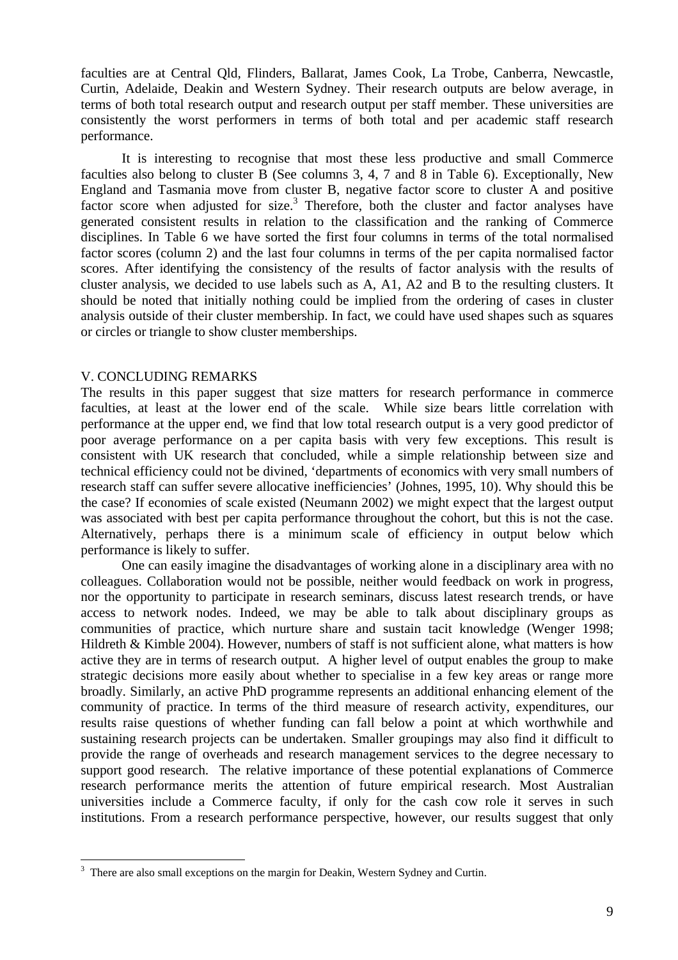faculties are at Central Qld, Flinders, Ballarat, James Cook, La Trobe, Canberra, Newcastle, Curtin, Adelaide, Deakin and Western Sydney. Their research outputs are below average, in terms of both total research output and research output per staff member. These universities are consistently the worst performers in terms of both total and per academic staff research performance.

It is interesting to recognise that most these less productive and small Commerce faculties also belong to cluster B (See columns 3, 4, 7 and 8 in Table 6). Exceptionally, New England and Tasmania move from cluster B, negative factor score to cluster A and positive factor score when adjusted for size.<sup>3</sup> Therefore, both the cluster and factor analyses have generated consistent results in relation to the classification and the ranking of Commerce disciplines. In Table 6 we have sorted the first four columns in terms of the total normalised factor scores (column 2) and the last four columns in terms of the per capita normalised factor scores. After identifying the consistency of the results of factor analysis with the results of cluster analysis, we decided to use labels such as A, A1, A2 and B to the resulting clusters. It should be noted that initially nothing could be implied from the ordering of cases in cluster analysis outside of their cluster membership. In fact, we could have used shapes such as squares or circles or triangle to show cluster memberships.

#### V. CONCLUDING REMARKS

 $\overline{a}$ 

The results in this paper suggest that size matters for research performance in commerce faculties, at least at the lower end of the scale. While size bears little correlation with performance at the upper end, we find that low total research output is a very good predictor of poor average performance on a per capita basis with very few exceptions. This result is consistent with UK research that concluded, while a simple relationship between size and technical efficiency could not be divined, 'departments of economics with very small numbers of research staff can suffer severe allocative inefficiencies' (Johnes, 1995, 10). Why should this be the case? If economies of scale existed (Neumann 2002) we might expect that the largest output was associated with best per capita performance throughout the cohort, but this is not the case. Alternatively, perhaps there is a minimum scale of efficiency in output below which performance is likely to suffer.

One can easily imagine the disadvantages of working alone in a disciplinary area with no colleagues. Collaboration would not be possible, neither would feedback on work in progress, nor the opportunity to participate in research seminars, discuss latest research trends, or have access to network nodes. Indeed, we may be able to talk about disciplinary groups as communities of practice, which nurture share and sustain tacit knowledge (Wenger 1998; Hildreth & Kimble 2004). However, numbers of staff is not sufficient alone, what matters is how active they are in terms of research output. A higher level of output enables the group to make strategic decisions more easily about whether to specialise in a few key areas or range more broadly. Similarly, an active PhD programme represents an additional enhancing element of the community of practice. In terms of the third measure of research activity, expenditures, our results raise questions of whether funding can fall below a point at which worthwhile and sustaining research projects can be undertaken. Smaller groupings may also find it difficult to provide the range of overheads and research management services to the degree necessary to support good research. The relative importance of these potential explanations of Commerce research performance merits the attention of future empirical research. Most Australian universities include a Commerce faculty, if only for the cash cow role it serves in such institutions. From a research performance perspective, however, our results suggest that only

 $3$  There are also small exceptions on the margin for Deakin, Western Sydney and Curtin.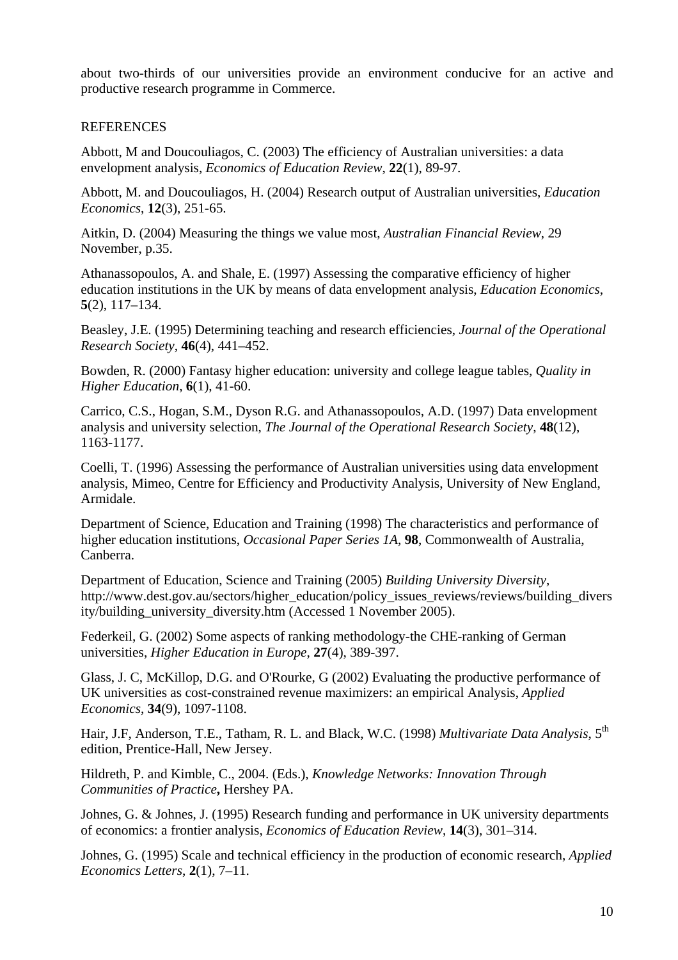about two-thirds of our universities provide an environment conducive for an active and productive research programme in Commerce.

## REFERENCES

Abbott, M and Doucouliagos, C. (2003) The efficiency of Australian universities: a data envelopment analysis, *Economics of Education Review*, **22**(1), 89-97.

Abbott, M. and Doucouliagos, H. (2004) Research output of Australian universities, *Education Economics*, **12**(3), 251-65.

Aitkin, D. (2004) Measuring the things we value most, *Australian Financial Review*, 29 November, p.35.

Athanassopoulos, A. and Shale, E. (1997) Assessing the comparative efficiency of higher education institutions in the UK by means of data envelopment analysis, *Education Economics*, **5**(2), 117–134.

Beasley, J.E. (1995) Determining teaching and research efficiencies, *Journal of the Operational Research Society*, **46**(4), 441–452.

Bowden, R. (2000) Fantasy higher education: university and college league tables, *Quality in Higher Education*, **6**(1), 41-60.

Carrico, C.S., Hogan, S.M., Dyson R.G. and Athanassopoulos, A.D. (1997) Data envelopment analysis and university selection, *The Journal of the Operational Research Society*, **48**(12), 1163-1177.

Coelli, T. (1996) Assessing the performance of Australian universities using data envelopment analysis, Mimeo, Centre for Efficiency and Productivity Analysis, University of New England, Armidale.

Department of Science, Education and Training (1998) The characteristics and performance of higher education institutions, *Occasional Paper Series 1A*, **98**, Commonwealth of Australia, Canberra.

Department of Education, Science and Training (2005) *Building University Diversity*, http://www.dest.gov.au/sectors/higher\_education/policy\_issues\_reviews/reviews/building\_divers ity/building\_university\_diversity.htm (Accessed 1 November 2005).

Federkeil, G. (2002) Some aspects of ranking methodology-the CHE-ranking of German universities, *Higher Education in Europe*, **27**(4), 389-397.

Glass, J. C, McKillop, D.G. and O'Rourke, G (2002) Evaluating the productive performance of UK universities as cost-constrained revenue maximizers: an empirical Analysis, *Applied Economics*, **34**(9), 1097-1108.

Hair, J.F, Anderson, T.E., Tatham, R. L. and Black, W.C. (1998) *Multivariate Data Analysis*, 5<sup>th</sup> edition, Prentice-Hall, New Jersey.

Hildreth, P. and Kimble, C., 2004. (Eds.), *Knowledge Networks: Innovation Through Communities of Practice***,** Hershey PA.

Johnes, G. & Johnes, J. (1995) Research funding and performance in UK university departments of economics: a frontier analysis, *Economics of Education Review*, **14**(3), 301–314.

Johnes, G. (1995) Scale and technical efficiency in the production of economic research, *Applied Economics Letters*, **2**(1), 7–11.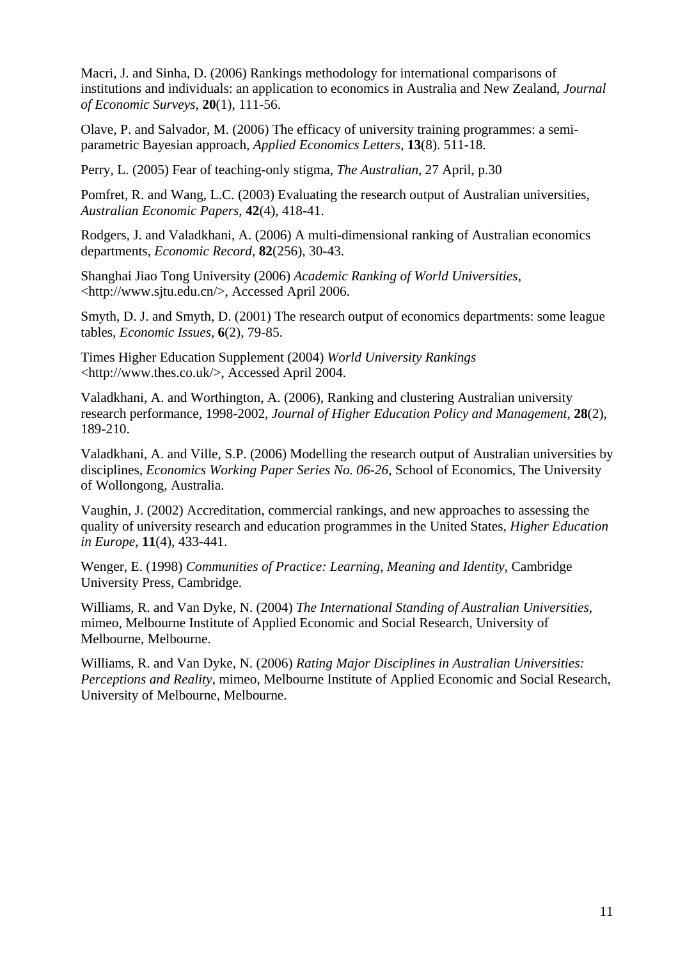Macri, J. and Sinha, D. (2006) Rankings methodology for international comparisons of institutions and individuals: an application to economics in Australia and New Zealand, *Journal of Economic Surveys*, **20**(1), 111-56.

Olave, P. and Salvador, M. (2006) The efficacy of university training programmes: a semiparametric Bayesian approach, *Applied Economics Letters*, **13**(8). 511-18.

Perry, L. (2005) Fear of teaching-only stigma, *The Australian*, 27 April, p.30

Pomfret, R. and Wang, L.C. (2003) Evaluating the research output of Australian universities, *Australian Economic Papers*, **42**(4), 418-41.

Rodgers, J. and Valadkhani, A. (2006) A multi-dimensional ranking of Australian economics departments, *Economic Record*, **82**(256), 30-43.

Shanghai Jiao Tong University (2006) *Academic Ranking of World Universities*, <http://www.sjtu.edu.cn/>, Accessed April 2006.

Smyth, D. J. and Smyth, D. (2001) The research output of economics departments: some league tables, *Economic Issues*, **6**(2), 79-85.

Times Higher Education Supplement (2004) *World University Rankings* <http://www.thes.co.uk/>, Accessed April 2004.

Valadkhani, A. and Worthington, A. (2006), Ranking and clustering Australian university research performance, 1998-2002, *Journal of Higher Education Policy and Management*, **28**(2), 189-210.

Valadkhani, A. and Ville, S.P. (2006) Modelling the research output of Australian universities by disciplines, *Economics Working Paper Series No. 06-26*, School of Economics, The University of Wollongong, Australia.

Vaughin, J. (2002) Accreditation, commercial rankings, and new approaches to assessing the quality of university research and education programmes in the United States, *Higher Education in Europe*, **11**(4), 433-441.

Wenger, E. (1998) *Communities of Practice: Learning, Meaning and Identity*, Cambridge University Press, Cambridge.

Williams, R. and Van Dyke, N. (2004) *The International Standing of Australian Universities*, mimeo, Melbourne Institute of Applied Economic and Social Research, University of Melbourne, Melbourne.

Williams, R. and Van Dyke, N. (2006) *Rating Major Disciplines in Australian Universities: Perceptions and Reality*, mimeo, Melbourne Institute of Applied Economic and Social Research, University of Melbourne, Melbourne.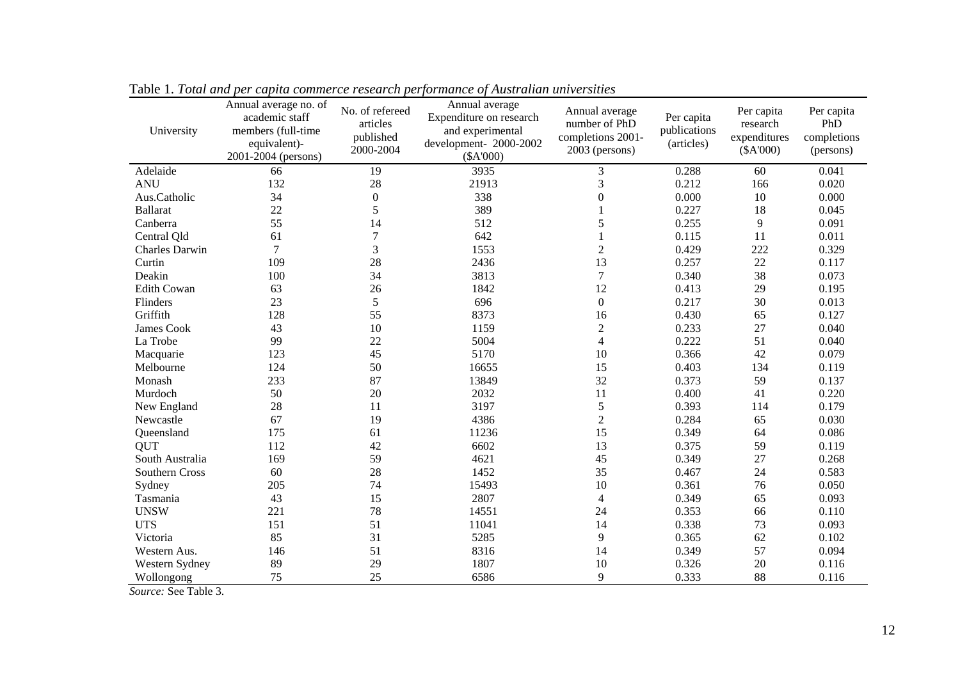| University            | Annual average no. of<br>academic staff<br>members (full-time<br>equivalent)-<br>2001-2004 (persons) | No. of refereed<br>articles<br>published<br>2000-2004 | Annual average<br>Expenditure on research<br>and experimental<br>development- 2000-2002<br>(\$A'000) | Annual average<br>number of PhD<br>completions 2001-<br>2003 (persons) | Per capita<br>publications<br>(articles) | Per capita<br>research<br>expenditures<br>(\$A'000) | Per capita<br>PhD<br>completions<br>(persons) |
|-----------------------|------------------------------------------------------------------------------------------------------|-------------------------------------------------------|------------------------------------------------------------------------------------------------------|------------------------------------------------------------------------|------------------------------------------|-----------------------------------------------------|-----------------------------------------------|
| Adelaide              | 66                                                                                                   | 19                                                    | 3935                                                                                                 | 3                                                                      | 0.288                                    | 60                                                  | 0.041                                         |
| <b>ANU</b>            | 132                                                                                                  | 28                                                    | 21913                                                                                                | 3                                                                      | 0.212                                    | 166                                                 | 0.020                                         |
| Aus.Catholic          | 34                                                                                                   | $\overline{0}$                                        | 338                                                                                                  | $\theta$                                                               | 0.000                                    | 10                                                  | 0.000                                         |
| <b>Ballarat</b>       | 22                                                                                                   | 5                                                     | 389                                                                                                  |                                                                        | 0.227                                    | 18                                                  | 0.045                                         |
| Canberra              | 55                                                                                                   | 14                                                    | 512                                                                                                  | 5                                                                      | 0.255                                    | 9                                                   | 0.091                                         |
| Central Qld           | 61                                                                                                   | 7                                                     | 642                                                                                                  |                                                                        | 0.115                                    | 11                                                  | 0.011                                         |
| <b>Charles Darwin</b> | $\overline{7}$                                                                                       | 3                                                     | 1553                                                                                                 | $\overline{2}$                                                         | 0.429                                    | 222                                                 | 0.329                                         |
| Curtin                | 109                                                                                                  | 28                                                    | 2436                                                                                                 | 13                                                                     | 0.257                                    | 22                                                  | 0.117                                         |
| Deakin                | 100                                                                                                  | 34                                                    | 3813                                                                                                 | $\tau$                                                                 | 0.340                                    | 38                                                  | 0.073                                         |
| <b>Edith Cowan</b>    | 63                                                                                                   | 26                                                    | 1842                                                                                                 | 12                                                                     | 0.413                                    | 29                                                  | 0.195                                         |
| Flinders              | 23                                                                                                   | 5                                                     | 696                                                                                                  | $\boldsymbol{0}$                                                       | 0.217                                    | 30                                                  | 0.013                                         |
| Griffith              | 128                                                                                                  | 55                                                    | 8373                                                                                                 | 16                                                                     | 0.430                                    | 65                                                  | 0.127                                         |
| James Cook            | 43                                                                                                   | 10                                                    | 1159                                                                                                 | $\overline{2}$                                                         | 0.233                                    | 27                                                  | 0.040                                         |
| La Trobe              | 99                                                                                                   | 22                                                    | 5004                                                                                                 | $\overline{4}$                                                         | 0.222                                    | 51                                                  | 0.040                                         |
| Macquarie             | 123                                                                                                  | 45                                                    | 5170                                                                                                 | 10                                                                     | 0.366                                    | 42                                                  | 0.079                                         |
| Melbourne             | 124                                                                                                  | 50                                                    | 16655                                                                                                | 15                                                                     | 0.403                                    | 134                                                 | 0.119                                         |
| Monash                | 233                                                                                                  | 87                                                    | 13849                                                                                                | 32                                                                     | 0.373                                    | 59                                                  | 0.137                                         |
| Murdoch               | 50                                                                                                   | 20                                                    | 2032                                                                                                 | 11                                                                     | 0.400                                    | 41                                                  | 0.220                                         |
| New England           | 28                                                                                                   | 11                                                    | 3197                                                                                                 | 5                                                                      | 0.393                                    | 114                                                 | 0.179                                         |
| Newcastle             | 67                                                                                                   | 19                                                    | 4386                                                                                                 | $\sqrt{2}$                                                             | 0.284                                    | 65                                                  | 0.030                                         |
| Queensland            | 175                                                                                                  | 61                                                    | 11236                                                                                                | 15                                                                     | 0.349                                    | 64                                                  | 0.086                                         |
| QUT                   | 112                                                                                                  | 42                                                    | 6602                                                                                                 | 13                                                                     | 0.375                                    | 59                                                  | 0.119                                         |
| South Australia       | 169                                                                                                  | 59                                                    | 4621                                                                                                 | 45                                                                     | 0.349                                    | 27                                                  | 0.268                                         |
| Southern Cross        | 60                                                                                                   | 28                                                    | 1452                                                                                                 | 35                                                                     | 0.467                                    | 24                                                  | 0.583                                         |
| Sydney                | 205                                                                                                  | 74                                                    | 15493                                                                                                | 10                                                                     | 0.361                                    | 76                                                  | 0.050                                         |
| Tasmania              | 43                                                                                                   | 15                                                    | 2807                                                                                                 | $\overline{4}$                                                         | 0.349                                    | 65                                                  | 0.093                                         |
| <b>UNSW</b>           | 221                                                                                                  | 78                                                    | 14551                                                                                                | 24                                                                     | 0.353                                    | 66                                                  | 0.110                                         |
| <b>UTS</b>            | 151                                                                                                  | 51                                                    | 11041                                                                                                | 14                                                                     | 0.338                                    | 73                                                  | 0.093                                         |
| Victoria              | 85                                                                                                   | 31                                                    | 5285                                                                                                 | 9                                                                      | 0.365                                    | 62                                                  | 0.102                                         |
| Western Aus.          | 146                                                                                                  | 51                                                    | 8316                                                                                                 | 14                                                                     | 0.349                                    | 57                                                  | 0.094                                         |
| Western Sydney        | 89                                                                                                   | 29                                                    | 1807                                                                                                 | 10                                                                     | 0.326                                    | 20                                                  | 0.116                                         |
| Wollongong            | 75                                                                                                   | 25                                                    | 6586                                                                                                 | 9                                                                      | 0.333                                    | 88                                                  | 0.116                                         |

Table 1. *Total and per capita commerce research performance of Australian universities*

*Source:* See Table 3.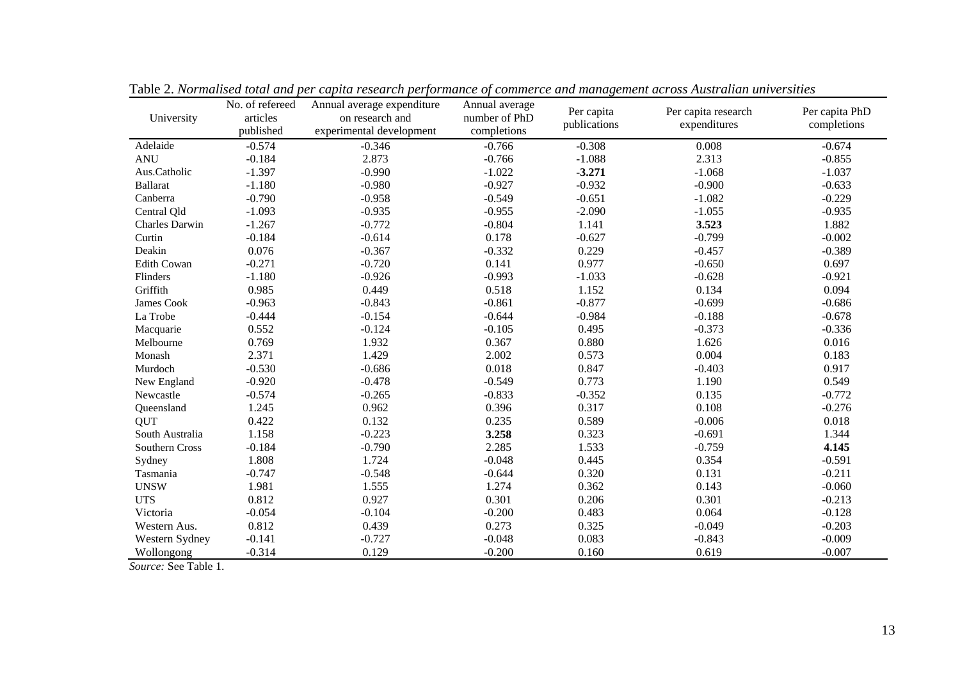| University         | No. of refereed<br>articles<br>published | per capital research performance of commerce and management across riastratum antrens<br>Annual average expenditure<br>on research and<br>experimental development | Annual average<br>number of PhD<br>completions | Per capita<br>publications | Per capita research<br>expenditures | Per capita PhD<br>completions |
|--------------------|------------------------------------------|--------------------------------------------------------------------------------------------------------------------------------------------------------------------|------------------------------------------------|----------------------------|-------------------------------------|-------------------------------|
| Adelaide           | $-0.574$                                 | $-0.346$                                                                                                                                                           | $-0.766$                                       | $-0.308$                   | 0.008                               | $-0.674$                      |
| <b>ANU</b>         | $-0.184$                                 | 2.873                                                                                                                                                              | $-0.766$                                       | $-1.088$                   | 2.313                               | $-0.855$                      |
| Aus.Catholic       | $-1.397$                                 | $-0.990$                                                                                                                                                           | $-1.022$                                       | $-3.271$                   | $-1.068$                            | $-1.037$                      |
| <b>Ballarat</b>    | $-1.180$                                 | $-0.980$                                                                                                                                                           | $-0.927$                                       | $-0.932$                   | $-0.900$                            | $-0.633$                      |
| Canberra           | $-0.790$                                 | $-0.958$                                                                                                                                                           | $-0.549$                                       | $-0.651$                   | $-1.082$                            | $-0.229$                      |
| Central Qld        | $-1.093$                                 | $-0.935$                                                                                                                                                           | $-0.955$                                       | $-2.090$                   | $-1.055$                            | $-0.935$                      |
| Charles Darwin     | $-1.267$                                 | $-0.772$                                                                                                                                                           | $-0.804$                                       | 1.141                      | 3.523                               | 1.882                         |
| Curtin             | $-0.184$                                 | $-0.614$                                                                                                                                                           | 0.178                                          | $-0.627$                   | $-0.799$                            | $-0.002$                      |
| Deakin             | 0.076                                    | $-0.367$                                                                                                                                                           | $-0.332$                                       | 0.229                      | $-0.457$                            | $-0.389$                      |
| <b>Edith Cowan</b> | $-0.271$                                 | $-0.720$                                                                                                                                                           | 0.141                                          | 0.977                      | $-0.650$                            | 0.697                         |
| Flinders           | $-1.180$                                 | $-0.926$                                                                                                                                                           | $-0.993$                                       | $-1.033$                   | $-0.628$                            | $-0.921$                      |
| Griffith           | 0.985                                    | 0.449                                                                                                                                                              | 0.518                                          | 1.152                      | 0.134                               | 0.094                         |
| James Cook         | $-0.963$                                 | $-0.843$                                                                                                                                                           | $-0.861$                                       | $-0.877$                   | $-0.699$                            | $-0.686$                      |
| La Trobe           | $-0.444$                                 | $-0.154$                                                                                                                                                           | $-0.644$                                       | $-0.984$                   | $-0.188$                            | $-0.678$                      |
| Macquarie          | 0.552                                    | $-0.124$                                                                                                                                                           | $-0.105$                                       | 0.495                      | $-0.373$                            | $-0.336$                      |
| Melbourne          | 0.769                                    | 1.932                                                                                                                                                              | 0.367                                          | 0.880                      | 1.626                               | 0.016                         |
| Monash             | 2.371                                    | 1.429                                                                                                                                                              | 2.002                                          | 0.573                      | 0.004                               | 0.183                         |
| Murdoch            | $-0.530$                                 | $-0.686$                                                                                                                                                           | 0.018                                          | 0.847                      | $-0.403$                            | 0.917                         |
| New England        | $-0.920$                                 | $-0.478$                                                                                                                                                           | $-0.549$                                       | 0.773                      | 1.190                               | 0.549                         |
| Newcastle          | $-0.574$                                 | $-0.265$                                                                                                                                                           | $-0.833$                                       | $-0.352$                   | 0.135                               | $-0.772$                      |
| Queensland         | 1.245                                    | 0.962                                                                                                                                                              | 0.396                                          | 0.317                      | 0.108                               | $-0.276$                      |
| <b>QUT</b>         | 0.422                                    | 0.132                                                                                                                                                              | 0.235                                          | 0.589                      | $-0.006$                            | 0.018                         |
| South Australia    | 1.158                                    | $-0.223$                                                                                                                                                           | 3.258                                          | 0.323                      | $-0.691$                            | 1.344                         |
| Southern Cross     | $-0.184$                                 | $-0.790$                                                                                                                                                           | 2.285                                          | 1.533                      | $-0.759$                            | 4.145                         |
| Sydney             | 1.808                                    | 1.724                                                                                                                                                              | $-0.048$                                       | 0.445                      | 0.354                               | $-0.591$                      |
| Tasmania           | $-0.747$                                 | $-0.548$                                                                                                                                                           | $-0.644$                                       | 0.320                      | 0.131                               | $-0.211$                      |
| <b>UNSW</b>        | 1.981                                    | 1.555                                                                                                                                                              | 1.274                                          | 0.362                      | 0.143                               | $-0.060$                      |
| <b>UTS</b>         | 0.812                                    | 0.927                                                                                                                                                              | 0.301                                          | 0.206                      | 0.301                               | $-0.213$                      |
| Victoria           | $-0.054$                                 | $-0.104$                                                                                                                                                           | $-0.200$                                       | 0.483                      | 0.064                               | $-0.128$                      |
| Western Aus.       | 0.812                                    | 0.439                                                                                                                                                              | 0.273                                          | 0.325                      | $-0.049$                            | $-0.203$                      |
| Western Sydney     | $-0.141$                                 | $-0.727$                                                                                                                                                           | $-0.048$                                       | 0.083                      | $-0.843$                            | $-0.009$                      |
| Wollongong         | $-0.314$                                 | 0.129                                                                                                                                                              | $-0.200$                                       | 0.160                      | 0.619                               | $-0.007$                      |

Table 2. *Normalised total and per capita research performance of commerce and management across Australian universities*

*Source:* See Table 1.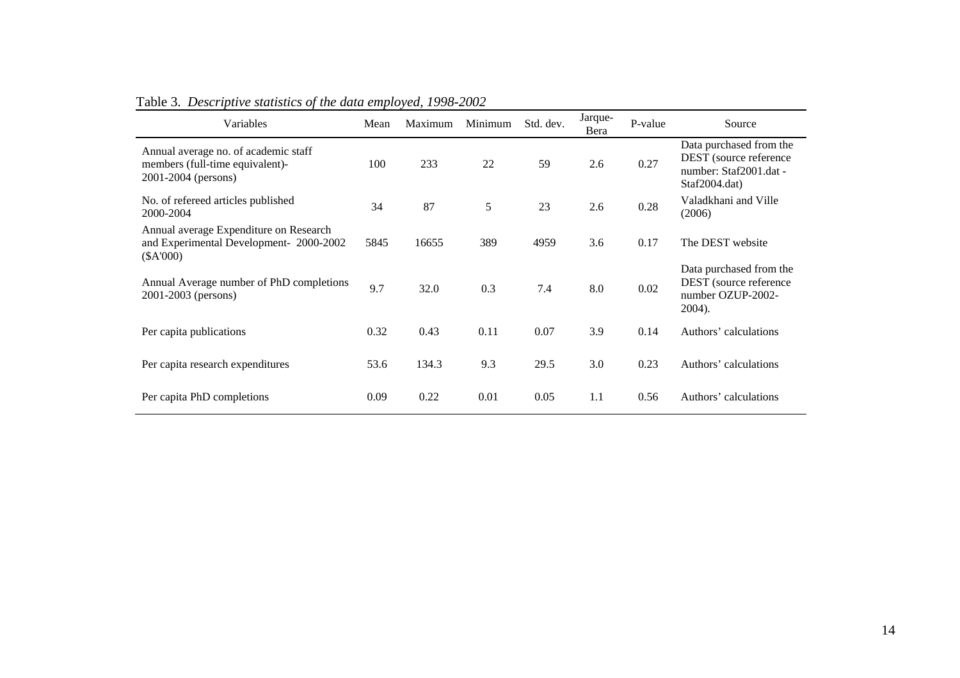| Variables                                                                                      | Mean | Maximum | Minimum | Std. dev. | Jarque-<br>Bera | P-value | Source                                                                                       |
|------------------------------------------------------------------------------------------------|------|---------|---------|-----------|-----------------|---------|----------------------------------------------------------------------------------------------|
| Annual average no. of academic staff<br>members (full-time equivalent)-<br>2001-2004 (persons) | 100  | 233     | 22      | 59        | 2.6             | 0.27    | Data purchased from the<br>DEST (source reference<br>number: Staf2001.dat -<br>Staf2004.dat) |
| No. of refereed articles published<br>2000-2004                                                | 34   | 87      | 5       | 23        | 2.6             | 0.28    | Valadkhani and Ville<br>(2006)                                                               |
| Annual average Expenditure on Research<br>and Experimental Development-2000-2002<br>$(*A'000)$ | 5845 | 16655   | 389     | 4959      | 3.6             | 0.17    | The DEST website                                                                             |
| Annual Average number of PhD completions<br>2001-2003 (persons)                                | 9.7  | 32.0    | 0.3     | 7.4       | 8.0             | 0.02    | Data purchased from the<br>DEST (source reference<br>number OZUP-2002-<br>2004).             |
| Per capita publications                                                                        | 0.32 | 0.43    | 0.11    | 0.07      | 3.9             | 0.14    | Authors' calculations                                                                        |
| Per capita research expenditures                                                               | 53.6 | 134.3   | 9.3     | 29.5      | 3.0             | 0.23    | Authors' calculations                                                                        |
| Per capita PhD completions                                                                     | 0.09 | 0.22    | 0.01    | 0.05      | 1.1             | 0.56    | Authors' calculations                                                                        |

# Table 3. *Descriptive statistics of the data employed, 1998-2002*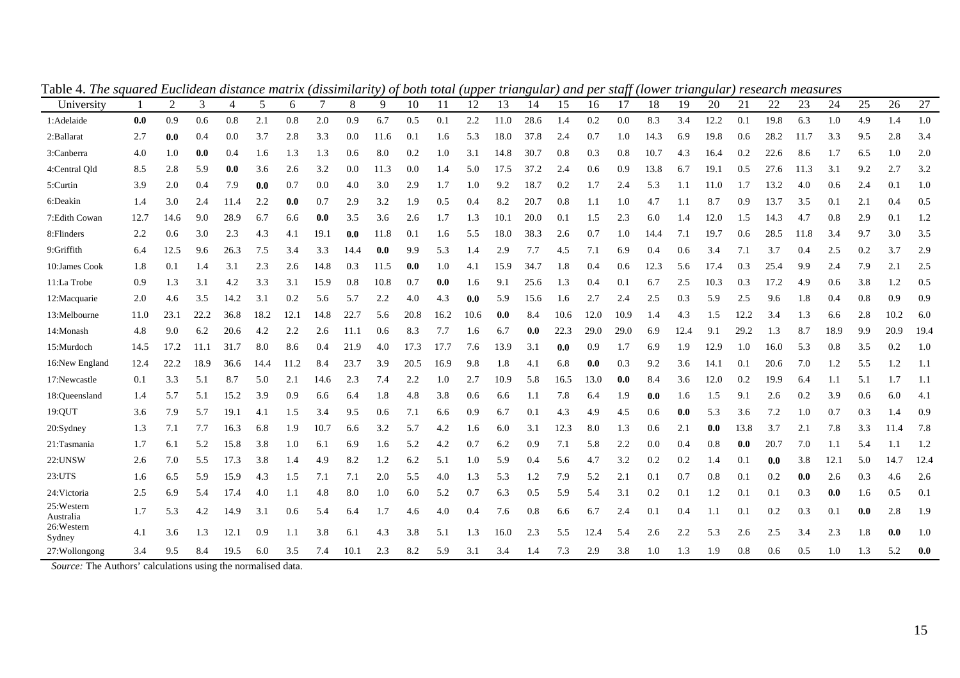| University              |      | $\overline{2}$ | 3    | 4    | 5    | 6    | 7    | 8    | 9    | 10   | 11   | 12   | 13   | 14   | 15   | 16   | 17   | 18   | 19   | 20   | 21   | 22   | 23   | 24   | 25  | 26   | 27   |
|-------------------------|------|----------------|------|------|------|------|------|------|------|------|------|------|------|------|------|------|------|------|------|------|------|------|------|------|-----|------|------|
| 1:Adelaide              | 0.0  | 0.9            | 0.6  | 0.8  | 2.1  | 0.8  | 2.0  | 0.9  | 6.7  | 0.5  | 0.1  | 2.2  | 11.0 | 28.6 | 1.4  | 0.2  | 0.0  | 8.3  | 3.4  | 12.2 | 0.1  | 19.8 | 6.3  | 1.0  | 4.9 | 1.4  | 1.0  |
| 2:Ballarat              | 2.7  | 0.0            | 0.4  | 0.0  | 3.7  | 2.8  | 3.3  | 0.0  | 11.6 | 0.1  | 1.6  | 5.3  | 18.0 | 37.8 | 2.4  | 0.7  | 1.0  | 14.3 | 6.9  | 19.8 | 0.6  | 28.2 | 11.7 | 3.3  | 9.5 | 2.8  | 3.4  |
| 3:Canberra              | 4.0  | 1.0            | 0.0  | 0.4  | 1.6  | 1.3  | 1.3  | 0.6  | 8.0  | 0.2  | 1.0  | 3.1  | 14.8 | 30.7 | 0.8  | 0.3  | 0.8  | 10.7 | 4.3  | 16.4 | 0.2  | 22.6 | 8.6  | 1.7  | 6.5 | 1.0  | 2.0  |
| 4:Central Qld           | 8.5  | 2.8            | 5.9  | 0.0  | 3.6  | 2.6  | 3.2  | 0.0  | 11.3 | 0.0  | 1.4  | 5.0  | 17.5 | 37.2 | 2.4  | 0.6  | 0.9  | 13.8 | 6.7  | 19.1 | 0.5  | 27.6 | 11.3 | 3.1  | 9.2 | 2.7  | 3.2  |
| 5:Curtin                | 3.9  | 2.0            | 0.4  | 7.9  | 0.0  | 0.7  | 0.0  | 4.0  | 3.0  | 2.9  | 1.7  | 1.0  | 9.2  | 18.7 | 0.2  | 1.7  | 2.4  | 5.3  | 1.1  | 11.0 | 1.7  | 13.2 | 4.0  | 0.6  | 2.4 | 0.1  | 1.0  |
| 6:Deakin                | 1.4  | 3.0            | 2.4  | 11.4 | 2.2  | 0.0  | 0.7  | 2.9  | 3.2  | 1.9  | 0.5  | 0.4  | 8.2  | 20.7 | 0.8  | 1.1  | 1.0  | 4.7  | 1.1  | 8.7  | 0.9  | 13.7 | 3.5  | 0.1  | 2.1 | 0.4  | 0.5  |
| 7: Edith Cowan          | 12.7 | 14.6           | 9.0  | 28.9 | 6.7  | 6.6  | 0.0  | 3.5  | 3.6  | 2.6  | 1.7  | 1.3  | 10.1 | 20.0 | 0.1  | 1.5  | 2.3  | 6.0  | 1.4  | 12.0 | 1.5  | 14.3 | 4.7  | 0.8  | 2.9 | 0.1  | 1.2  |
| 8: Flinders             | 2.2  | 0.6            | 3.0  | 2.3  | 4.3  | 4.1  | 19.1 | 0.0  | 11.8 | 0.1  | 1.6  | 5.5  | 18.0 | 38.3 | 2.6  | 0.7  | 1.0  | 14.4 | 7.1  | 19.7 | 0.6  | 28.5 | 11.8 | 3.4  | 9.7 | 3.0  | 3.5  |
| 9:Griffith              | 6.4  | 12.5           | 9.6  | 26.3 | 7.5  | 3.4  | 3.3  | 14.4 | 0.0  | 9.9  | 5.3  | 1.4  | 2.9  | 7.7  | 4.5  | 7.1  | 6.9  | 0.4  | 0.6  | 3.4  | 7.1  | 3.7  | 0.4  | 2.5  | 0.2 | 3.7  | 2.9  |
| 10:James Cook           | 1.8  | 0.1            | 1.4  | 3.1  | 2.3  | 2.6  | 14.8 | 0.3  | 11.5 | 0.0  | 1.0  | 4.1  | 15.9 | 34.7 | 1.8  | 0.4  | 0.6  | 12.3 | 5.6  | 17.4 | 0.3  | 25.4 | 9.9  | 2.4  | 7.9 | 2.1  | 2.5  |
| 11:La Trobe             | 0.9  | 1.3            | 3.1  | 4.2  | 3.3  | 3.1  | 15.9 | 0.8  | 10.8 | 0.7  | 0.0  | 1.6  | 9.1  | 25.6 | 1.3  | 0.4  | 0.1  | 6.7  | 2.5  | 10.3 | 0.3  | 17.2 | 4.9  | 0.6  | 3.8 | 1.2  | 0.5  |
| 12: Macquarie           | 2.0  | 4.6            | 3.5  | 14.2 | 3.1  | 0.2  | 5.6  | 5.7  | 2.2  | 4.0  | 4.3  | 0.0  | 5.9  | 15.6 | 1.6  | 2.7  | 2.4  | 2.5  | 0.3  | 5.9  | 2.5  | 9.6  | 1.8  | 0.4  | 0.8 | 0.9  | 0.9  |
| 13:Melbourne            | 11.0 | 23.1           | 22.2 | 36.8 | 18.2 | 12.1 | 14.8 | 22.7 | 5.6  | 20.8 | 16.2 | 10.6 | 0.0  | 8.4  | 10.6 | 12.0 | 10.9 | 1.4  | 4.3  | 1.5  | 12.2 | 3.4  | 1.3  | 6.6  | 2.8 | 10.2 | 6.0  |
| 14:Monash               | 4.8  | 9.0            | 6.2  | 20.6 | 4.2  | 2.2  | 2.6  | 11.1 | 0.6  | 8.3  | 7.7  | 1.6  | 6.7  | 0.0  | 22.3 | 29.0 | 29.0 | 6.9  | 12.4 | 9.1  | 29.2 | 1.3  | 8.7  | 18.9 | 9.9 | 20.9 | 19.4 |
| 15:Murdoch              | 14.5 | 17.2           | 11.1 | 31.7 | 8.0  | 8.6  | 0.4  | 21.9 | 4.0  | 17.3 | 17.7 | 7.6  | 13.9 | 3.1  | 0.0  | 0.9  | 1.7  | 6.9  | 1.9  | 12.9 | 1.0  | 16.0 | 5.3  | 0.8  | 3.5 | 0.2  | 1.0  |
| 16:New England          | 12.4 | 22.2           | 18.9 | 36.6 | 14.4 | 11.2 | 8.4  | 23.7 | 3.9  | 20.5 | 16.9 | 9.8  | 1.8  | 4.1  | 6.8  | 0.0  | 0.3  | 9.2  | 3.6  | 14.1 | 0.1  | 20.6 | 7.0  | 1.2  | 5.5 | 1.2  | 1.1  |
| 17:Newcastle            | 0.1  | 3.3            | 5.1  | 8.7  | 5.0  | 2.1  | 14.6 | 2.3  | 7.4  | 2.2  | 1.0  | 2.7  | 10.9 | 5.8  | 16.5 | 13.0 | 0.0  | 8.4  | 3.6  | 12.0 | 0.2  | 19.9 | 6.4  | 1.1  | 5.1 | 1.7  | 1.1  |
| 18:Queensland           | 1.4  | 5.7            | 5.1  | 15.2 | 3.9  | 0.9  | 6.6  | 6.4  | 1.8  | 4.8  | 3.8  | 0.6  | 6.6  | 1.1  | 7.8  | 6.4  | 1.9  | 0.0  | 1.6  | 1.5  | 9.1  | 2.6  | 0.2  | 3.9  | 0.6 | 6.0  | 4.1  |
| 19:QUT                  | 3.6  | 7.9            | 5.7  | 19.1 | 4.1  | 1.5  | 3.4  | 9.5  | 0.6  | 7.1  | 6.6  | 0.9  | 6.7  | 0.1  | 4.3  | 4.9  | 4.5  | 0.6  | 0.0  | 5.3  | 3.6  | 7.2  | 1.0  | 0.7  | 0.3 | 1.4  | 0.9  |
| $20:$ Sydney            | 1.3  | 7.1            | 7.7  | 16.3 | 6.8  | 1.9  | 10.7 | 6.6  | 3.2  | 5.7  | 4.2  | 1.6  | 6.0  | 3.1  | 12.3 | 8.0  | 1.3  | 0.6  | 2.1  | 0.0  | 13.8 | 3.7  | 2.1  | 7.8  | 3.3 | 11.4 | 7.8  |
| 21:Tasmania             | 1.7  | 6.1            | 5.2  | 15.8 | 3.8  | 1.0  | 6.1  | 6.9  | 1.6  | 5.2  | 4.2  | 0.7  | 6.2  | 0.9  | 7.1  | 5.8  | 2.2  | 0.0  | 0.4  | 0.8  | 0.0  | 20.7 | 7.0  | 1.1  | 5.4 | 1.1  | 1.2  |
| 22:UNSW                 | 2.6  | 7.0            | 5.5  | 17.3 | 3.8  | 1.4  | 4.9  | 8.2  | 1.2  | 6.2  | 5.1  | 1.0  | 5.9  | 0.4  | 5.6  | 4.7  | 3.2  | 0.2  | 0.2  | 1.4  | 0.1  | 0.0  | 3.8  | 12.1 | 5.0 | 14.7 | 12.4 |
| 23:UTS                  | 1.6  | 6.5            | 5.9  | 15.9 | 4.3  | 1.5  | 7.1  | 7.1  | 2.0  | 5.5  | 4.0  | 1.3  | 5.3  | 1.2  | 7.9  | 5.2  | 2.1  | 0.1  | 0.7  | 0.8  | 0.1  | 0.2  | 0.0  | 2.6  | 0.3 | 4.6  | 2.6  |
| 24: Victoria            | 2.5  | 6.9            | 5.4  | 17.4 | 4.0  | 1.1  | 4.8  | 8.0  | 1.0  | 6.0  | 5.2  | 0.7  | 6.3  | 0.5  | 5.9  | 5.4  | 3.1  | 0.2  | 0.1  | 1.2  | 0.1  | 0.1  | 0.3  | 0.0  | 1.6 | 0.5  | 0.1  |
| 25:Western<br>Australia | 1.7  | 5.3            | 4.2  | 14.9 | 3.1  | 0.6  | 5.4  | 6.4  | 1.7  | 4.6  | 4.0  | 0.4  | 7.6  | 0.8  | 6.6  | 6.7  | 2.4  | 0.1  | 0.4  | 1.1  | 0.1  | 0.2  | 0.3  | 0.1  | 0.0 | 2.8  | 1.9  |
| 26:Western<br>Sydney    | 4.1  | 3.6            | 1.3  | 12.1 | 0.9  | 1.1  | 3.8  | 6.1  | 4.3  | 3.8  | 5.1  | 1.3  | 16.0 | 2.3  | 5.5  | 12.4 | 5.4  | 2.6  | 2.2  | 5.3  | 2.6  | 2.5  | 3.4  | 2.3  | 1.8 | 0.0  | 1.0  |
| 27:Wollongong           | 3.4  | 9.5            | 8.4  | 19.5 | 6.0  | 3.5  | 7.4  | 10.1 | 2.3  | 8.2  | 5.9  | 3.1  | 3.4  | 1.4  | 7.3  | 2.9  | 3.8  | 1.0  | 1.3  | 1.9  | 0.8  | 0.6  | 0.5  | 1.0  | 1.3 | 5.2  | 0.0  |

Table 4. *The squared Euclidean distance matrix (dissimilarity) of both total (upper triangular) and per staff (lower triangular) research measures*

*Source:* The Authors' calculations using the normalised data.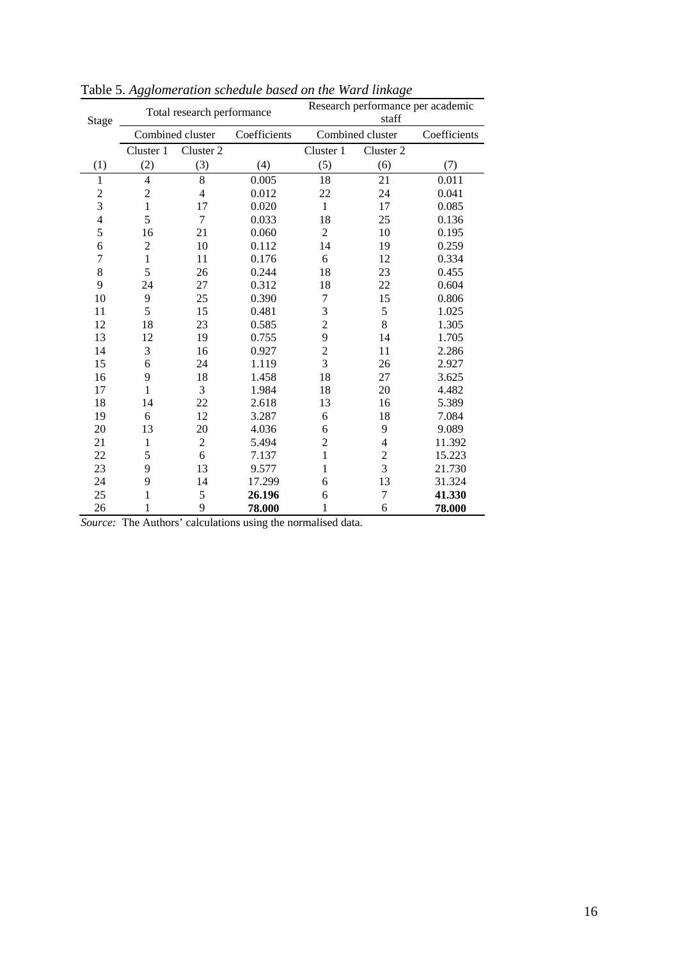| Stage          |                | Total research performance |              | Research performance per academic<br>staff |                  |              |  |  |  |  |
|----------------|----------------|----------------------------|--------------|--------------------------------------------|------------------|--------------|--|--|--|--|
|                |                | Combined cluster           | Coefficients |                                            | Combined cluster | Coefficients |  |  |  |  |
|                | Cluster 1      | Cluster 2                  |              | Cluster 1                                  | Cluster 2        |              |  |  |  |  |
| (1)            | (2)            | (3)                        | (4)          | (5)                                        | (6)              | (7)          |  |  |  |  |
| $\mathbf{1}$   | $\overline{4}$ | 8                          | 0.005        | 18                                         | 21               | 0.011        |  |  |  |  |
|                | $\overline{2}$ | $\overline{4}$             | 0.012        | 22                                         | 24               | 0.041        |  |  |  |  |
| $\frac{2}{3}$  | $\mathbf{1}$   | 17                         | 0.020        | $\mathbf{1}$                               | 17               | 0.085        |  |  |  |  |
| $\overline{4}$ | 5              | $\tau$                     | 0.033        | 18                                         | 25               | 0.136        |  |  |  |  |
| 5              | 16             | 21                         | 0.060        | $\overline{2}$                             | 10               | 0.195        |  |  |  |  |
| 6              | $\overline{2}$ | 10                         | 0.112        | 14                                         | 19               | 0.259        |  |  |  |  |
| $\overline{7}$ | 1              | 11                         | 0.176        | 6                                          | 12               | 0.334        |  |  |  |  |
| 8              | 5              | 26                         | 0.244        | 18                                         | 23               | 0.455        |  |  |  |  |
| 9              | 24             | 27                         | 0.312        | 18                                         | 22               | 0.604        |  |  |  |  |
| 10             | 9              | 25                         | 0.390        | 7                                          | 15               | 0.806        |  |  |  |  |
| 11             | 5              | 15                         | 0.481        | 3                                          | 5                | 1.025        |  |  |  |  |
| 12             | 18             | 23                         | 0.585        | $\overline{c}$                             | 8                | 1.305        |  |  |  |  |
| 13             | 12             | 19                         | 0.755        | 9                                          | 14               | 1.705        |  |  |  |  |
| 14             | 3              | 16                         | 0.927        | $\overline{c}$                             | 11               | 2.286        |  |  |  |  |
| 15             | 6              | 24                         | 1.119        | $\overline{3}$                             | 26               | 2.927        |  |  |  |  |
| 16             | 9              | 18                         | 1.458        | 18                                         | 27               | 3.625        |  |  |  |  |
| 17             | 1              | 3                          | 1.984        | 18                                         | 20               | 4.482        |  |  |  |  |
| 18             | 14             | 22                         | 2.618        | 13                                         | 16               | 5.389        |  |  |  |  |
| 19             | 6              | 12                         | 3.287        | 6                                          | 18               | 7.084        |  |  |  |  |
| 20             | 13             | 20                         | 4.036        | 6                                          | 9                | 9.089        |  |  |  |  |
| 21             | 1              | $\overline{2}$             | 5.494        | $\overline{2}$                             | $\overline{4}$   | 11.392       |  |  |  |  |
| 22             | 5              | 6                          | 7.137        | 1                                          | $\overline{c}$   | 15.223       |  |  |  |  |
| 23             | 9              | 13                         | 9.577        | 1                                          | 3                | 21.730       |  |  |  |  |
| 24             | 9              | 14                         | 17.299       | 6                                          | 13               | 31.324       |  |  |  |  |
| 25             | $\mathbf{1}$   | 5                          | 26.196       | 6                                          | 7                | 41.330       |  |  |  |  |
| 26             | 1              | 9                          | 78.000       | 1                                          | 6                | 78.000       |  |  |  |  |

Table 5. *Agglomeration schedule based on the Ward linkage*

*Source:* The Authors' calculations using the normalised data.